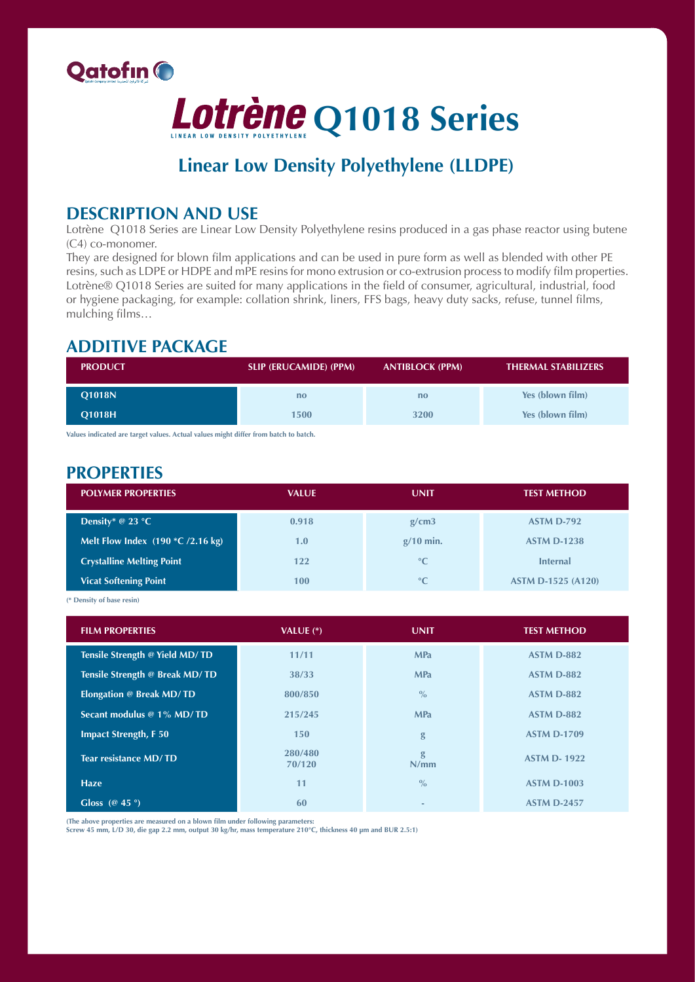



# **Linear Low Density Polyethylene (LLDPE)**

### **DESCRIPTION AND USE**

Lotrène Q1018 Series are Linear Low Density Polyethylene resins produced in a gas phase reactor using butene  $(C4)$  co-monomer.

They are designed for blown film applications and can be used in pure form as well as blended with other PE resins, such as LDPE or HDPE and mPE resins for mono extrusion or co-extrusion process to modify film properties. Lotrène® Q1018 Series are suited for many applications in the field of consumer, agricultural, industrial, food or hygiene packaging, for example: collation shrink, liners, FFS bags, heavy duty sacks, refuse, tunnel films, mulching films...

### **ADDITIVE PACKAGE**

| <b>PRODUCT</b> | <b>SLIP (ERUCAMIDE) (PPM)</b> | <b>ANTIBLOCK (PPM)</b> | <b>THERMAL STABILIZERS</b> |
|----------------|-------------------------------|------------------------|----------------------------|
| <b>Q1018N</b>  | no                            | no                     | Yes (blown film)           |
| <b>O1018H</b>  | 1500                          | 3200                   | Yes (blown film)           |

Values indicated are target values. Actual values might differ from batch to batch.

### **PROPERTIES**

| <b>POLYMER PROPERTIES</b>             | <b>VALUE</b> | <b>UNIT</b>     | <b>TEST METHOD</b>        |
|---------------------------------------|--------------|-----------------|---------------------------|
| Density* @ 23 $°C$                    | 0.918        | g/cm3           | <b>ASTM D-792</b>         |
| Melt Flow Index $(190 * C / 2.16 kg)$ | 1.0          | $g/10$ min.     | <b>ASTM D-1238</b>        |
| <b>Crystalline Melting Point</b>      | 122          | $\rm ^{\circ}C$ | <b>Internal</b>           |
| <b>Vicat Softening Point</b>          | 100          | $\rm ^{\circ}C$ | <b>ASTM D-1525 (A120)</b> |

<sup>(\*</sup> Density of base resin)

| <b>FILM PROPERTIES</b>          | VALUE $(*)$       | <b>UNIT</b>   | <b>TEST METHOD</b> |
|---------------------------------|-------------------|---------------|--------------------|
| Tensile Strength @ Yield MD/TD  | 11/11             | <b>MPa</b>    | <b>ASTM D-882</b>  |
| Tensile Strength @ Break MD/TD  | 38/33             | <b>MPa</b>    | <b>ASTM D-882</b>  |
| <b>Elongation @ Break MD/TD</b> | 800/850           | $\frac{0}{0}$ | <b>ASTM D-882</b>  |
| Secant modulus @ 1% MD/TD       | 215/245           | <b>MPa</b>    | <b>ASTM D-882</b>  |
| <b>Impact Strength, F 50</b>    | 150               | g             | <b>ASTM D-1709</b> |
| <b>Tear resistance MD/TD</b>    | 280/480<br>70/120 | g<br>N/mm     | <b>ASTM D-1922</b> |
| <b>Haze</b>                     | 11                | $\frac{0}{0}$ | <b>ASTM D-1003</b> |
| Gloss ( $@$ 45 $°$ )            | 60                |               | <b>ASTM D-2457</b> |

(The above properties are measured on a blown film under following parameters:

Screw 45 mm, L/D 30, die gap 2.2 mm, output 30 kg/hr, mass temperature 210°C, thickness 40 µm and BUR 2.5:1)